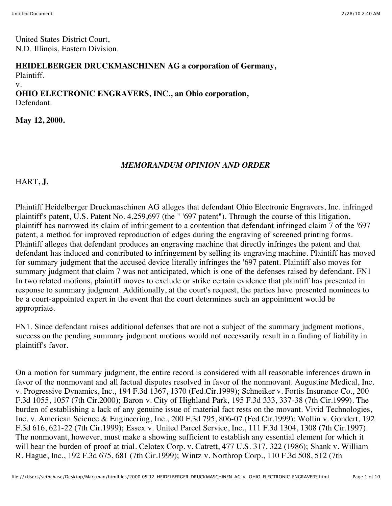United States District Court, N.D. Illinois, Eastern Division.

## **HEIDELBERGER DRUCKMASCHINEN AG a corporation of Germany,**

Plaintiff.

v.

## **OHIO ELECTRONIC ENGRAVERS, INC., an Ohio corporation,** Defendant.

**May 12, 2000.**

## *MEMORANDUM OPINION AND ORDER*

HART**, J.**

Plaintiff Heidelberger Druckmaschinen AG alleges that defendant Ohio Electronic Engravers, Inc. infringed plaintiff's patent, U.S. Patent No. 4,259,697 (the " '697 patent"). Through the course of this litigation, plaintiff has narrowed its claim of infringement to a contention that defendant infringed claim 7 of the '697 patent, a method for improved reproduction of edges during the engraving of screened printing forms. Plaintiff alleges that defendant produces an engraving machine that directly infringes the patent and that defendant has induced and contributed to infringement by selling its engraving machine. Plaintiff has moved for summary judgment that the accused device literally infringes the '697 patent. Plaintiff also moves for summary judgment that claim 7 was not anticipated, which is one of the defenses raised by defendant. FN1 In two related motions, plaintiff moves to exclude or strike certain evidence that plaintiff has presented in response to summary judgment. Additionally, at the court's request, the parties have presented nominees to be a court-appointed expert in the event that the court determines such an appointment would be appropriate.

FN1. Since defendant raises additional defenses that are not a subject of the summary judgment motions, success on the pending summary judgment motions would not necessarily result in a finding of liability in plaintiff's favor.

On a motion for summary judgment, the entire record is considered with all reasonable inferences drawn in favor of the nonmovant and all factual disputes resolved in favor of the nonmovant. Augustine Medical, Inc. v. Progressive Dynamics, Inc., 194 F.3d 1367, 1370 (Fed.Cir.1999); Schneiker v. Fortis Insurance Co., 200 F.3d 1055, 1057 (7th Cir.2000); Baron v. City of Highland Park, 195 F.3d 333, 337-38 (7th Cir.1999). The burden of establishing a lack of any genuine issue of material fact rests on the movant. Vivid Technologies, Inc. v. American Science & Engineering, Inc., 200 F.3d 795, 806-07 (Fed.Cir.1999); Wollin v. Gondert, 192 F.3d 616, 621-22 (7th Cir.1999); Essex v. United Parcel Service, Inc., 111 F.3d 1304, 1308 (7th Cir.1997). The nonmovant, however, must make a showing sufficient to establish any essential element for which it will bear the burden of proof at trial. Celotex Corp. v. Catrett, 477 U.S. 317, 322 (1986); Shank v. William R. Hague, Inc., 192 F.3d 675, 681 (7th Cir.1999); Wintz v. Northrop Corp., 110 F.3d 508, 512 (7th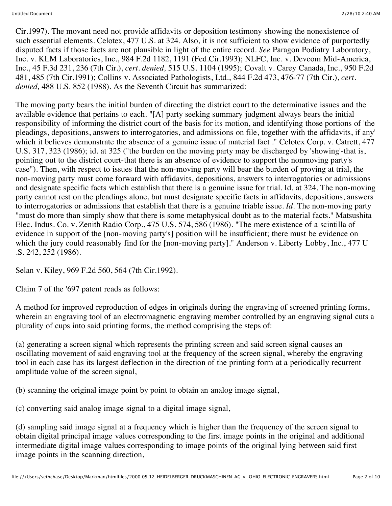Cir.1997). The movant need not provide affidavits or deposition testimony showing the nonexistence of such essential elements. Celotex, 477 U.S. at 324. Also, it is not sufficient to show evidence of purportedly disputed facts if those facts are not plausible in light of the entire record. *See* Paragon Podiatry Laboratory, Inc. v. KLM Laboratories, Inc., 984 F.2d 1182, 1191 (Fed.Cir.1993); NLFC, Inc. v. Devcom Mid-America, Inc., 45 F.3d 231, 236 (7th Cir.), *cert. denied,* 515 U.S. 1104 (1995); Covalt v. Carey Canada, Inc., 950 F.2d 481, 485 (7th Cir.1991); Collins v. Associated Pathologists, Ltd., 844 F.2d 473, 476-77 (7th Cir.), *cert. denied,* 488 U.S. 852 (1988). As the Seventh Circuit has summarized:

The moving party bears the initial burden of directing the district court to the determinative issues and the available evidence that pertains to each. "[A] party seeking summary judgment always bears the initial responsibility of informing the district court of the basis for its motion, and identifying those portions of 'the pleadings, depositions, answers to interrogatories, and admissions on file, together with the affidavits, if any' which it believes demonstrate the absence of a genuine issue of material fact." Celotex Corp. v. Catrett, 477 U.S. 317, 323 (1986); id. at 325 ("the burden on the moving party may be discharged by 'showing'-that is, pointing out to the district court-that there is an absence of evidence to support the nonmoving party's case"). Then, with respect to issues that the non-moving party will bear the burden of proving at trial, the non-moving party must come forward with affidavits, depositions, answers to interrogatories or admissions and designate specific facts which establish that there is a genuine issue for trial. Id. at 324. The non-moving party cannot rest on the pleadings alone, but must designate specific facts in affidavits, depositions, answers to interrogatories or admissions that establish that there is a genuine triable issue. *Id.* The non-moving party "must do more than simply show that there is some metaphysical doubt as to the material facts." Matsushita Elec. Indus. Co. v. Zenith Radio Corp., 475 U.S. 574, 586 (1986). "The mere existence of a scintilla of evidence in support of the [non-moving party's] position will be insufficient; there must be evidence on which the jury could reasonably find for the [non-moving party]." Anderson v. Liberty Lobby, Inc., 477 U .S. 242, 252 (1986).

Selan v. Kiley, 969 F.2d 560, 564 (7th Cir.1992).

Claim 7 of the '697 patent reads as follows:

A method for improved reproduction of edges in originals during the engraving of screened printing forms, wherein an engraving tool of an electromagnetic engraving member controlled by an engraving signal cuts a plurality of cups into said printing forms, the method comprising the steps of:

(a) generating a screen signal which represents the printing screen and said screen signal causes an oscillating movement of said engraving tool at the frequency of the screen signal, whereby the engraving tool in each case has its largest deflection in the direction of the printing form at a periodically recurrent amplitude value of the screen signal,

(b) scanning the original image point by point to obtain an analog image signal,

(c) converting said analog image signal to a digital image signal,

(d) sampling said image signal at a frequency which is higher than the frequency of the screen signal to obtain digital principal image values corresponding to the first image points in the original and additional intermediate digital image values corresponding to image points of the original lying between said first image points in the scanning direction,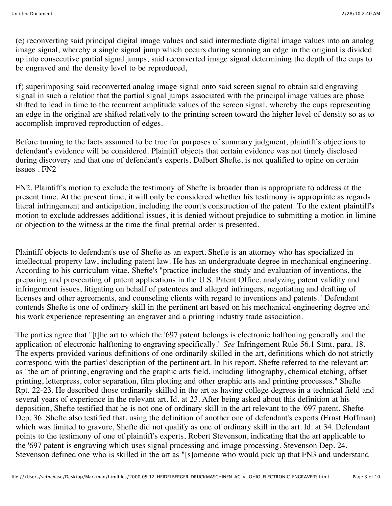(e) reconverting said principal digital image values and said intermediate digital image values into an analog image signal, whereby a single signal jump which occurs during scanning an edge in the original is divided up into consecutive partial signal jumps, said reconverted image signal determining the depth of the cups to be engraved and the density level to be reproduced,

(f) superimposing said reconverted analog image signal onto said screen signal to obtain said engraving signal in such a relation that the partial signal jumps associated with the principal image values are phase shifted to lead in time to the recurrent amplitude values of the screen signal, whereby the cups representing an edge in the original are shifted relatively to the printing screen toward the higher level of density so as to accomplish improved reproduction of edges.

Before turning to the facts assumed to be true for purposes of summary judgment, plaintiff's objections to defendant's evidence will be considered. Plaintiff objects that certain evidence was not timely disclosed during discovery and that one of defendant's experts, Dalbert Shefte, is not qualified to opine on certain issues . FN2

FN2. Plaintiff's motion to exclude the testimony of Shefte is broader than is appropriate to address at the present time. At the present time, it will only be considered whether his testimony is appropriate as regards literal infringement and anticipation, including the court's construction of the patent. To the extent plaintiff's motion to exclude addresses additional issues, it is denied without prejudice to submitting a motion in limine or objection to the witness at the time the final pretrial order is presented.

Plaintiff objects to defendant's use of Shefte as an expert. Shefte is an attorney who has specialized in intellectual property law, including patent law. He has an undergraduate degree in mechanical engineering. According to his curriculum vitae, Shefte's "practice includes the study and evaluation of inventions, the preparing and prosecuting of patent applications in the U.S. Patent Office, analyzing patent validity and infringement issues, litigating on behalf of patentees and alleged infringers, negotiating and drafting of licenses and other agreements, and counseling clients with regard to inventions and patents." Defendant contends Shefte is one of ordinary skill in the pertinent art based on his mechanical engineering degree and his work experience representing an engraver and a printing industry trade association.

The parties agree that "[t]he art to which the '697 patent belongs is electronic halftoning generally and the application of electronic halftoning to engraving specifically." *See* Infringement Rule 56.1 Stmt. para. 18. The experts provided various definitions of one ordinarily skilled in the art, definitions which do not strictly correspond with the parties' description of the pertinent art. In his report, Shefte referred to the relevant art as "the art of printing, engraving and the graphic arts field, including lithography, chemical etching, offset printing, letterpress, color separation, film plotting and other graphic arts and printing processes." Shefte Rpt. 22-23. He described those ordinarily skilled in the art as having college degrees in a technical field and several years of experience in the relevant art. Id. at 23. After being asked about this definition at his deposition, Shefte testified that he is not one of ordinary skill in the art relevant to the '697 patent. Shefte Dep. 36. Shefte also testified that, using the definition of another one of defendant's experts (Ernst Hoffman) which was limited to gravure, Shefte did not qualify as one of ordinary skill in the art. Id. at 34. Defendant points to the testimony of one of plaintiff's experts, Robert Stevenson, indicating that the art applicable to the '697 patent is engraving which uses signal processing and image processing. Stevenson Dep. 24. Stevenson defined one who is skilled in the art as "[s]omeone who would pick up that FN3 and understand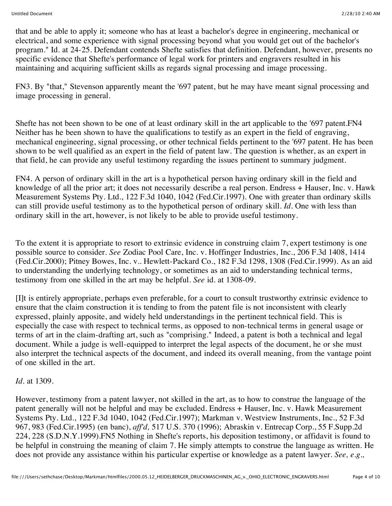that and be able to apply it; someone who has at least a bachelor's degree in engineering, mechanical or electrical, and some experience with signal processing beyond what you would get out of the bachelor's program." Id. at 24-25. Defendant contends Shefte satisfies that definition. Defendant, however, presents no specific evidence that Shefte's performance of legal work for printers and engravers resulted in his maintaining and acquiring sufficient skills as regards signal processing and image processing.

FN3. By "that," Stevenson apparently meant the '697 patent, but he may have meant signal processing and image processing in general.

Shefte has not been shown to be one of at least ordinary skill in the art applicable to the '697 patent.FN4 Neither has he been shown to have the qualifications to testify as an expert in the field of engraving, mechanical engineering, signal processing, or other technical fields pertinent to the '697 patent. He has been shown to be well qualified as an expert in the field of patent law. The question is whether, as an expert in that field, he can provide any useful testimony regarding the issues pertinent to summary judgment.

FN4. A person of ordinary skill in the art is a hypothetical person having ordinary skill in the field and knowledge of all the prior art; it does not necessarily describe a real person. Endress + Hauser, Inc. v. Hawk Measurement Systems Pty. Ltd., 122 F.3d 1040, 1042 (Fed.Cir.1997). One with greater than ordinary skills can still provide useful testimony as to the hypothetical person of ordinary skill. *Id.* One with less than ordinary skill in the art, however, is not likely to be able to provide useful testimony.

To the extent it is appropriate to resort to extrinsic evidence in construing claim 7, expert testimony is one possible source to consider. *See* Zodiac Pool Care, Inc. v. Hoffinger Industries, Inc., 206 F.3d 1408, 1414 (Fed.Cir.2000); Pitney Bowes, Inc. v.. Hewlett-Packard Co., 182 F.3d 1298, 1308 (Fed.Cir.1999). As an aid to understanding the underlying technology, or sometimes as an aid to understanding technical terms, testimony from one skilled in the art may be helpful. *See* id. at 1308-09.

[I]t is entirely appropriate, perhaps even preferable, for a court to consult trustworthy extrinsic evidence to ensure that the claim construction it is tending to from the patent file is not inconsistent with clearly expressed, plainly apposite, and widely held understandings in the pertinent technical field. This is especially the case with respect to technical terms, as opposed to non-technical terms in general usage or terms of art in the claim-drafting art, such as "comprising." Indeed, a patent is both a technical and legal document. While a judge is well-equipped to interpret the legal aspects of the document, he or she must also interpret the technical aspects of the document, and indeed its overall meaning, from the vantage point of one skilled in the art.

*Id.* at 1309.

However, testimony from a patent lawyer, not skilled in the art, as to how to construe the language of the patent generally will not be helpful and may be excluded. Endress + Hauser, Inc. v. Hawk Measurement Systems Pty. Ltd., 122 F.3d 1040, 1042 (Fed.Cir.1997); Markman v. Westview Instruments, Inc., 52 F.3d 967, 983 (Fed.Cir.1995) (en banc), *aff'd,* 517 U.S. 370 (1996); Abraskin v. Entrecap Corp., 55 F.Supp.2d 224, 228 (S.D.N.Y.1999).FN5 Nothing in Shefte's reports, his deposition testimony, or affidavit is found to be helpful in construing the meaning of claim 7. He simply attempts to construe the language as written. He does not provide any assistance within his particular expertise or knowledge as a patent lawyer. *See, e.g.,*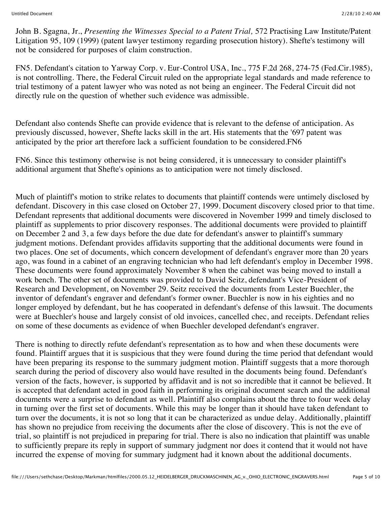John B. Sgagna, Jr., *Presenting the Witnesses Special to a Patent Trial,* 572 Practising Law Institute/Patent Litigation 95, 109 (1999) (patent lawyer testimony regarding prosecution history). Shefte's testimony will not be considered for purposes of claim construction.

FN5. Defendant's citation to Yarway Corp. v. Eur-Control USA, Inc., 775 F.2d 268, 274-75 (Fed.Cir.1985), is not controlling. There, the Federal Circuit ruled on the appropriate legal standards and made reference to trial testimony of a patent lawyer who was noted as not being an engineer. The Federal Circuit did not directly rule on the question of whether such evidence was admissible.

Defendant also contends Shefte can provide evidence that is relevant to the defense of anticipation. As previously discussed, however, Shefte lacks skill in the art. His statements that the '697 patent was anticipated by the prior art therefore lack a sufficient foundation to be considered.FN6

FN6. Since this testimony otherwise is not being considered, it is unnecessary to consider plaintiff's additional argument that Shefte's opinions as to anticipation were not timely disclosed.

Much of plaintiff's motion to strike relates to documents that plaintiff contends were untimely disclosed by defendant. Discovery in this case closed on October 27, 1999. Document discovery closed prior to that time. Defendant represents that additional documents were discovered in November 1999 and timely disclosed to plaintiff as supplements to prior discovery responses. The additional documents were provided to plaintiff on December 2 and 3, a few days before the due date for defendant's answer to plaintiff's summary judgment motions. Defendant provides affidavits supporting that the additional documents were found in two places. One set of documents, which concern development of defendant's engraver more than 20 years ago, was found in a cabinet of an engraving technician who had left defendant's employ in December 1998. These documents were found approximately November 8 when the cabinet was being moved to install a work bench. The other set of documents was provided to David Seitz, defendant's Vice-President of Research and Development, on November 29. Seitz received the documents from Lester Buechler, the inventor of defendant's engraver and defendant's former owner. Buechler is now in his eighties and no longer employed by defendant, but he has cooperated in defendant's defense of this lawsuit. The documents were at Buechler's house and largely consist of old invoices, cancelled chec, and receipts. Defendant relies on some of these documents as evidence of when Buechler developed defendant's engraver.

There is nothing to directly refute defendant's representation as to how and when these documents were found. Plaintiff argues that it is suspicious that they were found during the time period that defendant would have been preparing its response to the summary judgment motion. Plaintiff suggests that a more thorough search during the period of discovery also would have resulted in the documents being found. Defendant's version of the facts, however, is supported by affidavit and is not so incredible that it cannot be believed. It is accepted that defendant acted in good faith in performing its original document search and the additional documents were a surprise to defendant as well. Plaintiff also complains about the three to four week delay in turning over the first set of documents. While this may be longer than it should have taken defendant to turn over the documents, it is not so long that it can be characterized as undue delay. Additionally, plaintiff has shown no prejudice from receiving the documents after the close of discovery. This is not the eve of trial, so plaintiff is not prejudiced in preparing for trial. There is also no indication that plaintiff was unable to sufficiently prepare its reply in support of summary judgment nor does it contend that it would not have incurred the expense of moving for summary judgment had it known about the additional documents.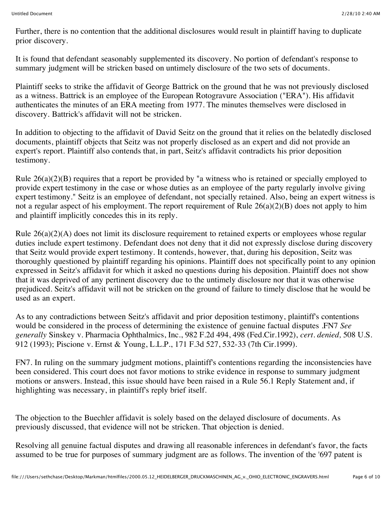Further, there is no contention that the additional disclosures would result in plaintiff having to duplicate prior discovery.

It is found that defendant seasonably supplemented its discovery. No portion of defendant's response to summary judgment will be stricken based on untimely disclosure of the two sets of documents.

Plaintiff seeks to strike the affidavit of George Battrick on the ground that he was not previously disclosed as a witness. Battrick is an employee of the European Rotogravure Association ("ERA"). His affidavit authenticates the minutes of an ERA meeting from 1977. The minutes themselves were disclosed in discovery. Battrick's affidavit will not be stricken.

In addition to objecting to the affidavit of David Seitz on the ground that it relies on the belatedly disclosed documents, plaintiff objects that Seitz was not properly disclosed as an expert and did not provide an expert's report. Plaintiff also contends that, in part, Seitz's affidavit contradicts his prior deposition testimony.

Rule 26(a)(2)(B) requires that a report be provided by "a witness who is retained or specially employed to provide expert testimony in the case or whose duties as an employee of the party regularly involve giving expert testimony." Seitz is an employee of defendant, not specially retained. Also, being an expert witness is not a regular aspect of his employment. The report requirement of Rule  $26(a)(2)(B)$  does not apply to him and plaintiff implicitly concedes this in its reply.

Rule 26(a)(2)(A) does not limit its disclosure requirement to retained experts or employees whose regular duties include expert testimony. Defendant does not deny that it did not expressly disclose during discovery that Seitz would provide expert testimony. It contends, however, that, during his deposition, Seitz was thoroughly questioned by plaintiff regarding his opinions. Plaintiff does not specifically point to any opinion expressed in Seitz's affidavit for which it asked no questions during his deposition. Plaintiff does not show that it was deprived of any pertinent discovery due to the untimely disclosure nor that it was otherwise prejudiced. Seitz's affidavit will not be stricken on the ground of failure to timely disclose that he would be used as an expert.

As to any contradictions between Seitz's affidavit and prior deposition testimony, plaintiff's contentions would be considered in the process of determining the existence of genuine factual disputes .FN7 *See generally* Sinskey v. Pharmacia Ophthalmics, Inc., 982 F.2d 494, 498 (Fed.Cir.1992), *cert. denied,* 508 U.S. 912 (1993); Piscione v. Ernst & Young, L.L.P., 171 F.3d 527, 532-33 (7th Cir.1999).

FN7. In ruling on the summary judgment motions, plaintiff's contentions regarding the inconsistencies have been considered. This court does not favor motions to strike evidence in response to summary judgment motions or answers. Instead, this issue should have been raised in a Rule 56.1 Reply Statement and, if highlighting was necessary, in plaintiff's reply brief itself.

The objection to the Buechler affidavit is solely based on the delayed disclosure of documents. As previously discussed, that evidence will not be stricken. That objection is denied.

Resolving all genuine factual disputes and drawing all reasonable inferences in defendant's favor, the facts assumed to be true for purposes of summary judgment are as follows. The invention of the '697 patent is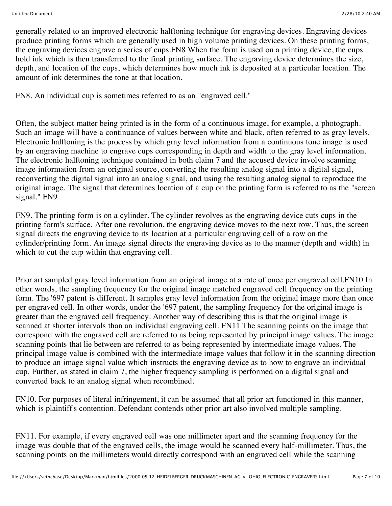generally related to an improved electronic halftoning technique for engraving devices. Engraving devices produce printing forms which are generally used in high volume printing devices. On these printing forms, the engraving devices engrave a series of cups.FN8 When the form is used on a printing device, the cups hold ink which is then transferred to the final printing surface. The engraving device determines the size, depth, and location of the cups, which determines how much ink is deposited at a particular location. The amount of ink determines the tone at that location.

FN8. An individual cup is sometimes referred to as an "engraved cell."

Often, the subject matter being printed is in the form of a continuous image, for example, a photograph. Such an image will have a continuance of values between white and black, often referred to as gray levels. Electronic halftoning is the process by which gray level information from a continuous tone image is used by an engraving machine to engrave cups corresponding in depth and width to the gray level information. The electronic halftoning technique contained in both claim 7 and the accused device involve scanning image information from an original source, converting the resulting analog signal into a digital signal, reconverting the digital signal into an analog signal, and using the resulting analog signal to reproduce the original image. The signal that determines location of a cup on the printing form is referred to as the "screen signal." FN9

FN9. The printing form is on a cylinder. The cylinder revolves as the engraving device cuts cups in the printing form's surface. After one revolution, the engraving device moves to the next row. Thus, the screen signal directs the engraving device to its location at a particular engraving cell of a row on the cylinder/printing form. An image signal directs the engraving device as to the manner (depth and width) in which to cut the cup within that engraving cell.

Prior art sampled gray level information from an original image at a rate of once per engraved cell.FN10 In other words, the sampling frequency for the original image matched engraved cell frequency on the printing form. The '697 patent is different. It samples gray level information from the original image more than once per engraved cell. In other words, under the '697 patent, the sampling frequency for the original image is greater than the engraved cell frequency. Another way of describing this is that the original image is scanned at shorter intervals than an individual engraving cell. FN11 The scanning points on the image that correspond with the engraved cell are referred to as being represented by principal image values. The image scanning points that lie between are referred to as being represented by intermediate image values. The principal image value is combined with the intermediate image values that follow it in the scanning direction to produce an image signal value which instructs the engraving device as to how to engrave an individual cup. Further, as stated in claim 7, the higher frequency sampling is performed on a digital signal and converted back to an analog signal when recombined.

FN10. For purposes of literal infringement, it can be assumed that all prior art functioned in this manner, which is plaintiff's contention. Defendant contends other prior art also involved multiple sampling.

FN11. For example, if every engraved cell was one millimeter apart and the scanning frequency for the image was double that of the engraved cells, the image would be scanned every half-millimeter. Thus, the scanning points on the millimeters would directly correspond with an engraved cell while the scanning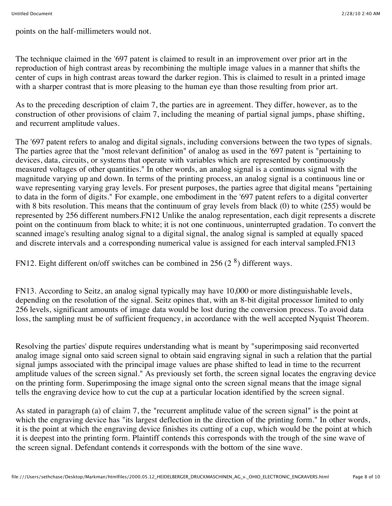points on the half-millimeters would not.

The technique claimed in the '697 patent is claimed to result in an improvement over prior art in the reproduction of high contrast areas by recombining the multiple image values in a manner that shifts the center of cups in high contrast areas toward the darker region. This is claimed to result in a printed image with a sharper contrast that is more pleasing to the human eye than those resulting from prior art.

As to the preceding description of claim 7, the parties are in agreement. They differ, however, as to the construction of other provisions of claim 7, including the meaning of partial signal jumps, phase shifting, and recurrent amplitude values.

The '697 patent refers to analog and digital signals, including conversions between the two types of signals. The parties agree that the "most relevant definition" of analog as used in the '697 patent is "pertaining to devices, data, circuits, or systems that operate with variables which are represented by continuously measured voltages of other quantities." In other words, an analog signal is a continuous signal with the magnitude varying up and down. In terms of the printing process, an analog signal is a continuous line or wave representing varying gray levels. For present purposes, the parties agree that digital means "pertaining to data in the form of digits." For example, one embodiment in the '697 patent refers to a digital converter with 8 bits resolution. This means that the continuum of gray levels from black (0) to white (255) would be represented by 256 different numbers.FN12 Unlike the analog representation, each digit represents a discrete point on the continuum from black to white; it is not one continuous, uninterrupted gradation. To convert the scanned image's resulting analog signal to a digital signal, the analog signal is sampled at equally spaced and discrete intervals and a corresponding numerical value is assigned for each interval sampled.FN13

FN12. Eight different on/off switches can be combined in 256 (2 $8$ ) different ways.

FN13. According to Seitz, an analog signal typically may have 10,000 or more distinguishable levels, depending on the resolution of the signal. Seitz opines that, with an 8-bit digital processor limited to only 256 levels, significant amounts of image data would be lost during the conversion process. To avoid data loss, the sampling must be of sufficient frequency, in accordance with the well accepted Nyquist Theorem.

Resolving the parties' dispute requires understanding what is meant by "superimposing said reconverted analog image signal onto said screen signal to obtain said engraving signal in such a relation that the partial signal jumps associated with the principal image values are phase shifted to lead in time to the recurrent amplitude values of the screen signal." As previously set forth, the screen signal locates the engraving device on the printing form. Superimposing the image signal onto the screen signal means that the image signal tells the engraving device how to cut the cup at a particular location identified by the screen signal.

As stated in paragraph (a) of claim 7, the "recurrent amplitude value of the screen signal" is the point at which the engraving device has "its largest deflection in the direction of the printing form." In other words, it is the point at which the engraving device finishes its cutting of a cup, which would be the point at which it is deepest into the printing form. Plaintiff contends this corresponds with the trough of the sine wave of the screen signal. Defendant contends it corresponds with the bottom of the sine wave.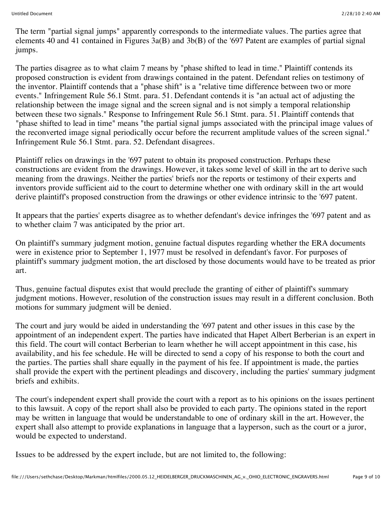The term "partial signal jumps" apparently corresponds to the intermediate values. The parties agree that elements 40 and 41 contained in Figures 3a(B) and 3b(B) of the '697 Patent are examples of partial signal jumps.

The parties disagree as to what claim 7 means by "phase shifted to lead in time." Plaintiff contends its proposed construction is evident from drawings contained in the patent. Defendant relies on testimony of the inventor. Plaintiff contends that a "phase shift" is a "relative time difference between two or more events." Infringement Rule 56.1 Stmt. para. 51. Defendant contends it is "an actual act of adjusting the relationship between the image signal and the screen signal and is not simply a temporal relationship between these two signals." Response to Infringement Rule 56.1 Stmt. para. 51. Plaintiff contends that "phase shifted to lead in time" means "the partial signal jumps associated with the principal image values of the reconverted image signal periodically occur before the recurrent amplitude values of the screen signal." Infringement Rule 56.1 Stmt. para. 52. Defendant disagrees.

Plaintiff relies on drawings in the '697 patent to obtain its proposed construction. Perhaps these constructions are evident from the drawings. However, it takes some level of skill in the art to derive such meaning from the drawings. Neither the parties' briefs nor the reports or testimony of their experts and inventors provide sufficient aid to the court to determine whether one with ordinary skill in the art would derive plaintiff's proposed construction from the drawings or other evidence intrinsic to the '697 patent.

It appears that the parties' experts disagree as to whether defendant's device infringes the '697 patent and as to whether claim 7 was anticipated by the prior art.

On plaintiff's summary judgment motion, genuine factual disputes regarding whether the ERA documents were in existence prior to September 1, 1977 must be resolved in defendant's favor. For purposes of plaintiff's summary judgment motion, the art disclosed by those documents would have to be treated as prior art.

Thus, genuine factual disputes exist that would preclude the granting of either of plaintiff's summary judgment motions. However, resolution of the construction issues may result in a different conclusion. Both motions for summary judgment will be denied.

The court and jury would be aided in understanding the '697 patent and other issues in this case by the appointment of an independent expert. The parties have indicated that Hapet Albert Berberian is an expert in this field. The court will contact Berberian to learn whether he will accept appointment in this case, his availability, and his fee schedule. He will be directed to send a copy of his response to both the court and the parties. The parties shall share equally in the payment of his fee. If appointment is made, the parties shall provide the expert with the pertinent pleadings and discovery, including the parties' summary judgment briefs and exhibits.

The court's independent expert shall provide the court with a report as to his opinions on the issues pertinent to this lawsuit. A copy of the report shall also be provided to each party. The opinions stated in the report may be written in language that would be understandable to one of ordinary skill in the art. However, the expert shall also attempt to provide explanations in language that a layperson, such as the court or a juror, would be expected to understand.

Issues to be addressed by the expert include, but are not limited to, the following: